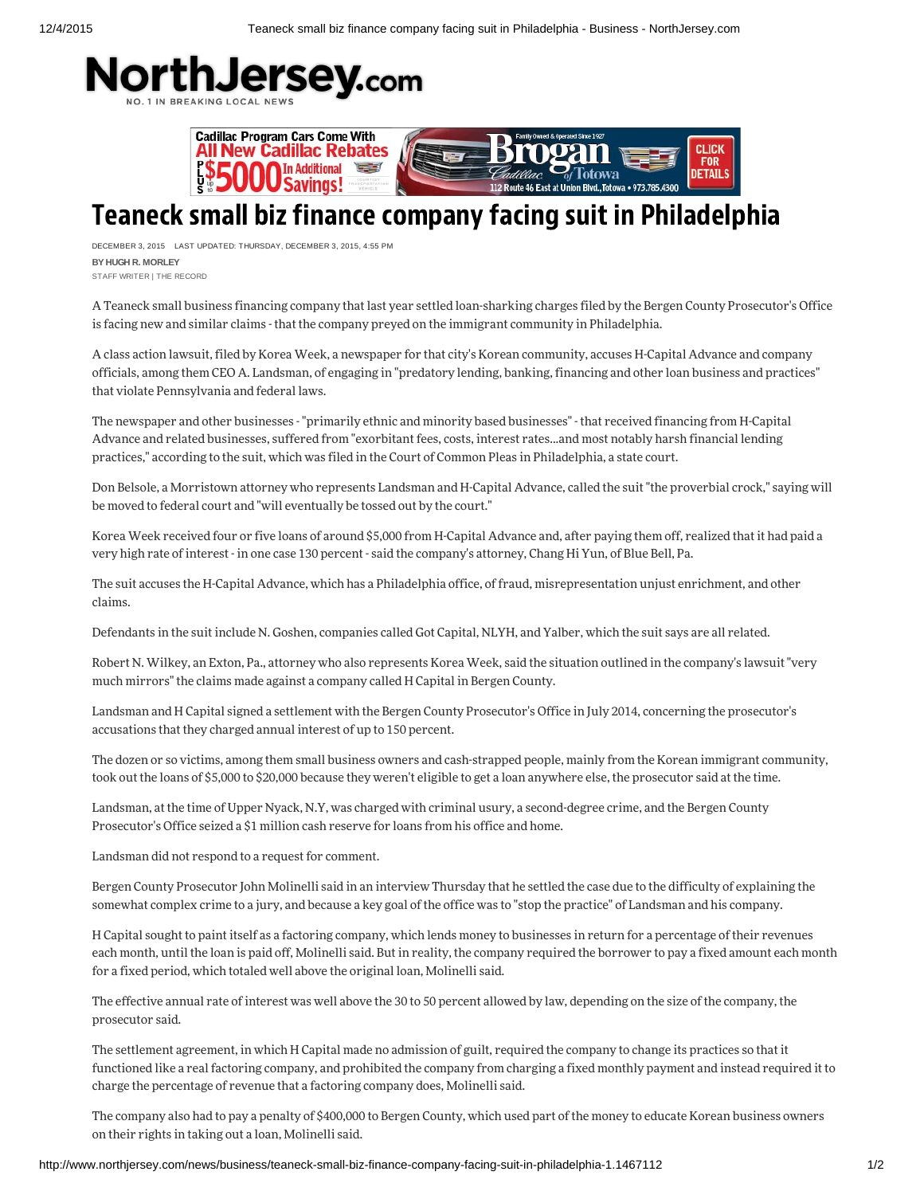



## Teaneck small biz finance company facing suit in Philadelphia

DECEMBER 3, 2015 LAST UPDATED: THURSDAY, DECEMBER 3, 2015, 4:55 PM **BY HUGH R. MORLEY** STAFF WRITER |THE RECORD

A Teaneck small business financing company that last year settled loan-sharking charges filed by the Bergen County Prosecutor's Office is facing new and similar claims - that the company preyed on the immigrant community in Philadelphia.

A class action lawsuit, filed by Korea Week, a newspaper for that city's Korean community, accuses H-Capital Advance and company officials, among them CEO A. Landsman, of engaging in "predatory lending, banking, financing and other loan business and practices" that violate Pennsylvania and federal laws.

The newspaper and other businesses - "primarily ethnic and minority based businesses" - that received financing from H-Capital Advance and related businesses, suffered from "exorbitant fees, costs, interest rates...and most notably harsh financial lending practices," according to the suit, which was filed in the Court of Common Pleas in Philadelphia, a state court.

Don Belsole, a Morristown attorney who represents Landsman and H-Capital Advance, called the suit "the proverbial crock," saying will be moved to federal court and "will eventually be tossed out by the court."

Korea Week received four or five loans of around \$5,000 from H-Capital Advance and, after paying them off, realized that it had paid a very high rate of interest - in one case 130 percent - said the company's attorney, Chang Hi Yun, of Blue Bell, Pa.

The suit accuses the H-Capital Advance, which has a Philadelphia office, of fraud, misrepresentation unjust enrichment, and other claim.

Defendants in the suit include N. Goshen, companies called Got Capital, NLYH, and Yalber, which the suit says are all related.

Robert N. Wilkey, an Exton, Pa., attorney who also represents Korea Week, said the situation outlined in the company's lawsuit "very much mirrors" the claims made against a company called H Capital in Bergen County.

Landsman and H Capital signed a settlement with the Bergen County Prosecutor's Office in July 2014, concerning the prosecutor's accusations that they charged annual interest of up to 150 percent.

The dozen or so victims, among them small business owners and cash-strapped people, mainly from the Korean immigrant community, took out the loans of \$5,000 to \$20,000 because they weren't eligible to get a loan anywhere else, the prosecutor said at the time.

Landsman, at the time of Upper Nyack, N.Y, was charged with criminal usury, a second-degree crime, and the Bergen County Prosecutor's Office seized a \$1 million cash reserve for loans from his office and home.

Landsman did not respond to a request for comment.

Bergen County Prosecutor John Molinelli said in an interview Thursday that he settled the case due to the difficulty of explaining the somewhat complex crime to a jury, and because a key goal of the office was to "stop the practice" of Landsman and his company.

H Capital sought to paint itself as a factoring company, which lends money to businesses in return for a percentage of their revenues each month, until the loan is paid off, Molinelli said. But in reality, the company required the borrower to pay a fixed amount each month for a fixed period, which totaled well above the original loan, Molinelli said.

The effective annual rate of interest was well above the 30 to 50 percent allowed by law, depending on the size of the company, the prosecutor said.

The settlement agreement, in which H Capital made no admission of guilt, required the company to change its practices so that it functioned like a real factoring company, and prohibited the company from charging a fixed monthly payment and instead required it to charge the percentage of revenue that a factoring company does, Molinelli said.

The company also had to pay a penalty of \$400,000 to Bergen County, which used part of the money to educate Korean business owners on their rights in taking out a loan, Molinelli said.